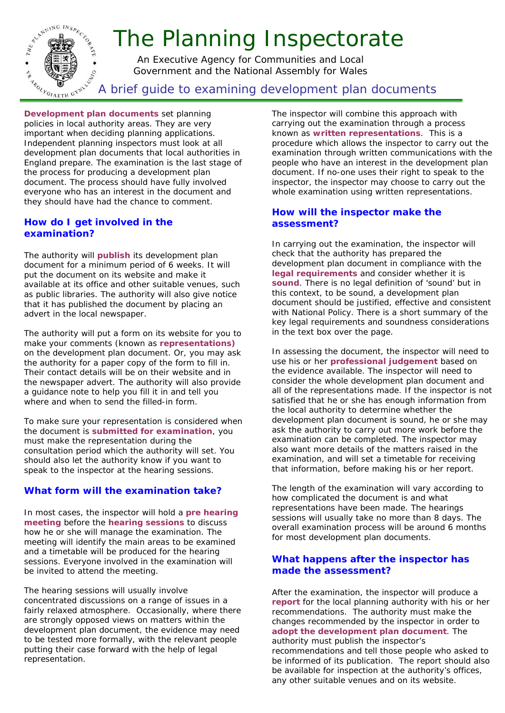

**Development plan documents** set planning policies in local authority areas. They are very important when deciding planning applications. Independent planning inspectors must look at all development plan documents that local authorities in England prepare. The examination is the last stage of the process for producing a development plan document. The process should have fully involved everyone who has an interest in the document and they should have had the chance to comment.

# **How do I get involved in the examination?**

The authority will **publish** its development plan document for a minimum period of 6 weeks. It will put the document on its website and make it available at its office and other suitable venues, such as public libraries. The authority will also give notice that it has published the document by placing an advert in the local newspaper.

The authority will put a form on its website for you to make your comments (known as **representations)** on the development plan document. Or, you may ask the authority for a paper copy of the form to fill in. Their contact details will be on their website and in the newspaper advert. The authority will also provide a guidance note to help you fill it in and tell you where and when to send the filled-in form.

To make sure your representation is considered when the document is **submitted for examination**, you must make the representation during the consultation period which the authority will set. You should also let the authority know if you want to speak to the inspector at the hearing sessions.

# **What form will the examination take?**

In most cases, the inspector will hold a **pre hearing meeting** before the **hearing sessions** to discuss how he or she will manage the examination. The meeting will identify the main areas to be examined and a timetable will be produced for the hearing sessions. Everyone involved in the examination will be invited to attend the meeting.

The hearing sessions will usually involve concentrated discussions on a range of issues in a fairly relaxed atmosphere. Occasionally, where there are strongly opposed views on matters within the development plan document, the evidence may need to be tested more formally, with the relevant people putting their case forward with the help of legal representation.

The inspector will combine this approach with carrying out the examination through a process known as **written representations**. This is a procedure which allows the inspector to carry out the examination through written communications with the people who have an interest in the development plan document. If no-one uses their right to speak to the inspector, the inspector may choose to carry out the whole examination using written representations.

# **How will the inspector make the assessment?**

In carrying out the examination, the inspector will check that the authority has prepared the development plan document in compliance with the **legal requirements** and consider whether it is sound. There is no legal definition of 'sound' but in this context, to be sound, a development plan document should be justified, effective and consistent with National Policy. There is a short summary of the key legal requirements and soundness considerations in the text box over the page.

In assessing the document, the inspector will need to use his or her **professional judgement** based on the evidence available. The inspector will need to consider the whole development plan document and all of the representations made. If the inspector is not satisfied that he or she has enough information from the local authority to determine whether the development plan document is sound, he or she may ask the authority to carry out more work before the examination can be completed. The inspector may also want more details of the matters raised in the examination, and will set a timetable for receiving that information, before making his or her report.

The length of the examination will vary according to how complicated the document is and what representations have been made. The hearings sessions will usually take no more than 8 days. The overall examination process will be around 6 months for most development plan documents.

# **What happens after the inspector has made the assessment?**

After the examination, the inspector will produce a **report** for the local planning authority with his or her recommendations. The authority must make the changes recommended by the inspector in order to **adopt the development plan document**. The authority must publish the inspector's recommendations and tell those people who asked to be informed of its publication. The report should also be available for inspection at the authority's offices, any other suitable venues and on its website.